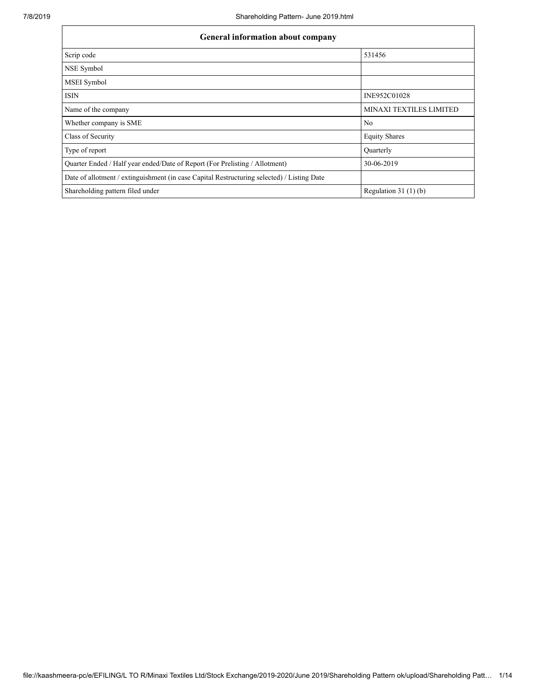| <b>General information about company</b>                                                   |                         |  |  |  |  |  |  |
|--------------------------------------------------------------------------------------------|-------------------------|--|--|--|--|--|--|
| Scrip code                                                                                 | 531456                  |  |  |  |  |  |  |
| NSE Symbol                                                                                 |                         |  |  |  |  |  |  |
| <b>MSEI</b> Symbol                                                                         |                         |  |  |  |  |  |  |
| <b>ISIN</b>                                                                                | INE952C01028            |  |  |  |  |  |  |
| Name of the company                                                                        | MINAXI TEXTILES LIMITED |  |  |  |  |  |  |
| Whether company is SME                                                                     | N <sub>0</sub>          |  |  |  |  |  |  |
| Class of Security                                                                          | <b>Equity Shares</b>    |  |  |  |  |  |  |
| Type of report                                                                             | <b>Ouarterly</b>        |  |  |  |  |  |  |
| Quarter Ended / Half year ended/Date of Report (For Prelisting / Allotment)                | 30-06-2019              |  |  |  |  |  |  |
| Date of allotment / extinguishment (in case Capital Restructuring selected) / Listing Date |                         |  |  |  |  |  |  |
| Shareholding pattern filed under                                                           | Regulation $31(1)(b)$   |  |  |  |  |  |  |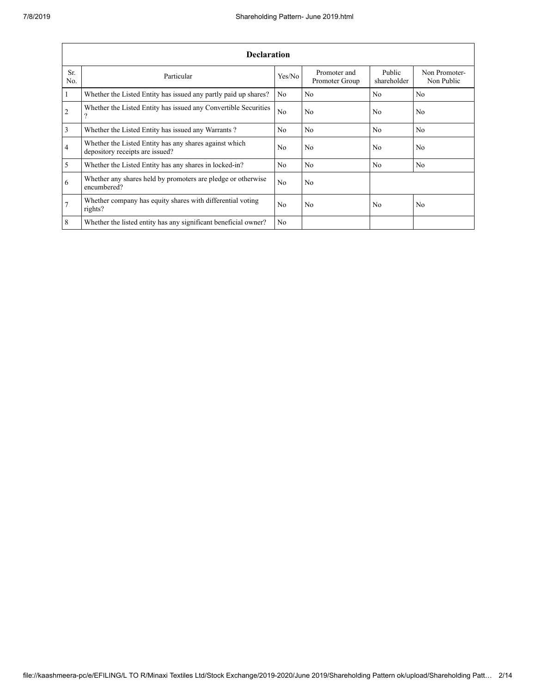|                | <b>Declaration</b>                                                                        |                |                                |                       |                             |  |  |  |  |  |
|----------------|-------------------------------------------------------------------------------------------|----------------|--------------------------------|-----------------------|-----------------------------|--|--|--|--|--|
| Sr.<br>No.     | Particular                                                                                | Yes/No         | Promoter and<br>Promoter Group | Public<br>shareholder | Non Promoter-<br>Non Public |  |  |  |  |  |
| $\vert$ 1      | Whether the Listed Entity has issued any partly paid up shares?                           | No             | N <sub>0</sub>                 | No                    | N <sub>0</sub>              |  |  |  |  |  |
| $\overline{2}$ | Whether the Listed Entity has issued any Convertible Securities<br>$\Omega$               | N <sub>0</sub> | N <sub>0</sub>                 | No.                   | N <sub>0</sub>              |  |  |  |  |  |
| $\overline{3}$ | Whether the Listed Entity has issued any Warrants?                                        | No.            | N <sub>0</sub>                 | N <sub>0</sub>        | N <sub>0</sub>              |  |  |  |  |  |
| $\overline{4}$ | Whether the Listed Entity has any shares against which<br>depository receipts are issued? |                | N <sub>0</sub>                 | No.                   | N <sub>0</sub>              |  |  |  |  |  |
| $\overline{5}$ | Whether the Listed Entity has any shares in locked-in?                                    | No.            | N <sub>0</sub>                 | N <sub>0</sub>        | N <sub>0</sub>              |  |  |  |  |  |
| 6              | Whether any shares held by promoters are pledge or otherwise<br>encumbered?               | No.            | N <sub>0</sub>                 |                       |                             |  |  |  |  |  |
| $\overline{7}$ | Whether company has equity shares with differential voting<br>rights?                     | No.            | N <sub>0</sub>                 | No                    | N <sub>0</sub>              |  |  |  |  |  |
| 8              | Whether the listed entity has any significant beneficial owner?                           | No.            |                                |                       |                             |  |  |  |  |  |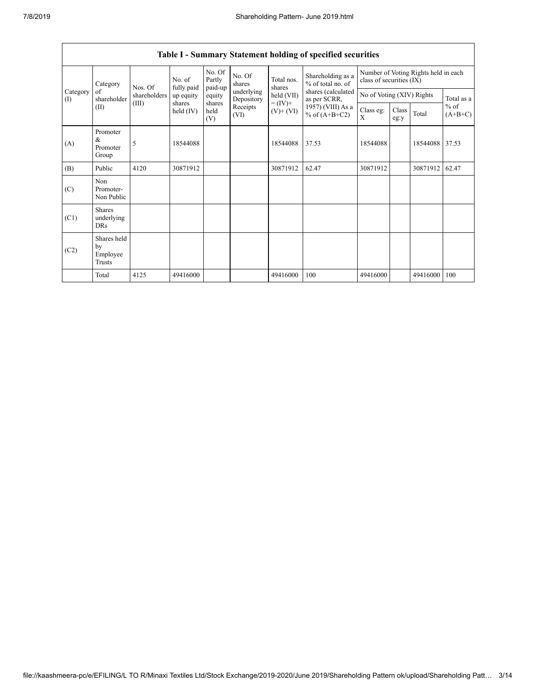|                 | Category                                | Nos. Of                         | No. of<br>fully paid | No. Of<br>Partly<br>paid-up | No. Of<br>shares         | Total nos.<br>shares         | Shareholding as a<br>% of total no. of | Number of Voting Rights held in each<br>class of securities (IX) |               |          |                     |
|-----------------|-----------------------------------------|---------------------------------|----------------------|-----------------------------|--------------------------|------------------------------|----------------------------------------|------------------------------------------------------------------|---------------|----------|---------------------|
| Category<br>(I) | of<br>shareholder                       | shareholders<br>(III)<br>shares | up equity            | equity                      | underlying<br>Depository | held (VII)                   | shares (calculated<br>as per SCRR,     | No of Voting (XIV) Rights                                        |               |          | Total as a          |
|                 | (II)                                    |                                 | held $(IV)$          | shares<br>held<br>(V)       | Receipts<br>(VI)         | $= (IV) +$<br>$(V)$ + $(VI)$ | 1957) (VIII) As a<br>% of $(A+B+C2)$   | Class eg:<br>X                                                   | Class<br>eg:y | Total    | $%$ of<br>$(A+B+C)$ |
| (A)             | Promoter<br>&<br>Promoter<br>Group      | 5                               | 18544088             |                             |                          | 18544088                     | 37.53                                  | 18544088                                                         |               | 18544088 | 37.53               |
| (B)             | Public                                  | 4120                            | 30871912             |                             |                          | 30871912                     | 62.47                                  | 30871912                                                         |               | 30871912 | 62.47               |
| (C)             | Non<br>Promoter-<br>Non Public          |                                 |                      |                             |                          |                              |                                        |                                                                  |               |          |                     |
| (C1)            | <b>Shares</b><br>underlying<br>DRs      |                                 |                      |                             |                          |                              |                                        |                                                                  |               |          |                     |
| (C2)            | Shares held<br>by<br>Employee<br>Trusts |                                 |                      |                             |                          |                              |                                        |                                                                  |               |          |                     |
|                 | Total                                   | 4125                            | 49416000             |                             |                          | 49416000                     | 100                                    | 49416000                                                         |               | 49416000 | 100                 |

## Table I - Summary Statement holding of specified securities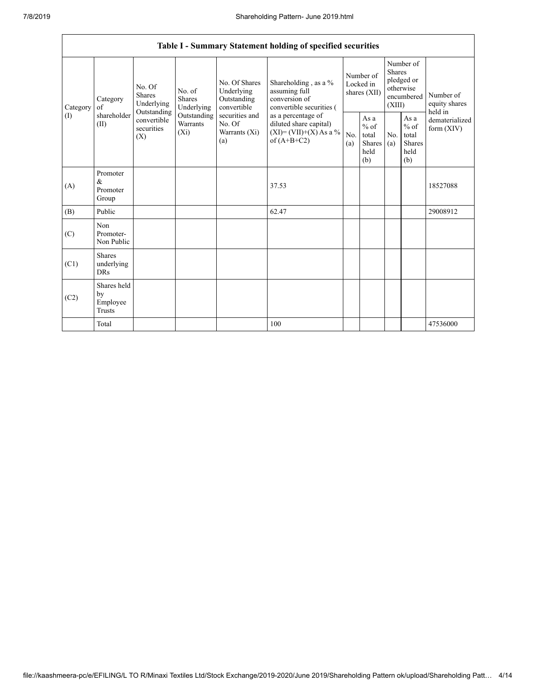|                 | Table I - Summary Statement holding of specified securities                                                                       |                                    |                                                  |                                                                                            |                                                                                        |                                                    |            |                                                                               |                                |                                       |  |
|-----------------|-----------------------------------------------------------------------------------------------------------------------------------|------------------------------------|--------------------------------------------------|--------------------------------------------------------------------------------------------|----------------------------------------------------------------------------------------|----------------------------------------------------|------------|-------------------------------------------------------------------------------|--------------------------------|---------------------------------------|--|
| Category<br>(1) | No. Of<br><b>Shares</b><br>Category<br>Underlying<br>of<br>Outstanding<br>shareholder<br>convertible<br>(II)<br>securities<br>(X) |                                    | No. of<br><b>Shares</b><br>Underlying            | No. Of Shares<br>Underlying<br>Outstanding<br>convertible                                  | Shareholding , as a $\%$<br>assuming full<br>conversion of<br>convertible securities ( | Number of<br>Locked in<br>shares (XII)             |            | Number of<br><b>Shares</b><br>pledged or<br>otherwise<br>encumbered<br>(XIII) |                                | Number of<br>equity shares<br>held in |  |
|                 |                                                                                                                                   | Outstanding<br>Warrants<br>$(X_i)$ | securities and<br>No. Of<br>Warrants (Xi)<br>(a) | as a percentage of<br>diluted share capital)<br>$(XI) = (VII)+(X) As a %$<br>of $(A+B+C2)$ | No.<br>(a)                                                                             | As $a$<br>$%$ of<br>total<br>Shares<br>held<br>(b) | No.<br>(a) | As a<br>$%$ of<br>total<br><b>Shares</b><br>held<br>(b)                       | dematerialized<br>form $(XIV)$ |                                       |  |
| (A)             | Promoter<br>&<br>Promoter<br>Group                                                                                                |                                    |                                                  |                                                                                            | 37.53                                                                                  |                                                    |            |                                                                               |                                | 18527088                              |  |
| (B)             | Public                                                                                                                            |                                    |                                                  |                                                                                            | 62.47                                                                                  |                                                    |            |                                                                               |                                | 29008912                              |  |
| (C)             | Non<br>Promoter-<br>Non Public                                                                                                    |                                    |                                                  |                                                                                            |                                                                                        |                                                    |            |                                                                               |                                |                                       |  |
| (C1)            | <b>Shares</b><br>underlying<br><b>DRs</b>                                                                                         |                                    |                                                  |                                                                                            |                                                                                        |                                                    |            |                                                                               |                                |                                       |  |
| (C2)            | Shares held<br>by<br>Employee<br>Trusts                                                                                           |                                    |                                                  |                                                                                            |                                                                                        |                                                    |            |                                                                               |                                |                                       |  |
|                 | Total                                                                                                                             |                                    |                                                  |                                                                                            | 100                                                                                    |                                                    |            |                                                                               |                                | 47536000                              |  |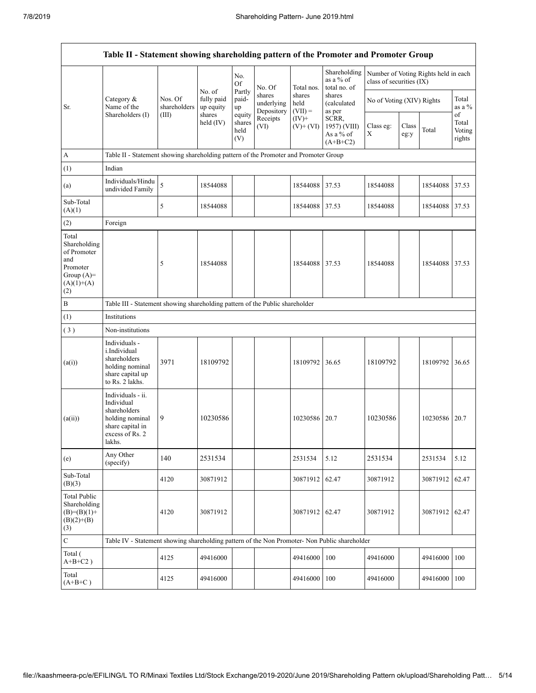|                                                                                                | Table II - Statement showing shareholding pattern of the Promoter and Promoter Group                                |                                                                                      |                                   |                                 |                                    |                             |                                                  |                           |               |                                      |                           |  |
|------------------------------------------------------------------------------------------------|---------------------------------------------------------------------------------------------------------------------|--------------------------------------------------------------------------------------|-----------------------------------|---------------------------------|------------------------------------|-----------------------------|--------------------------------------------------|---------------------------|---------------|--------------------------------------|---------------------------|--|
|                                                                                                |                                                                                                                     |                                                                                      |                                   | No.<br>Of                       | No. Of                             | Total nos.                  | Shareholding<br>as a % of<br>total no. of        | class of securities (IX)  |               | Number of Voting Rights held in each |                           |  |
| Sr.                                                                                            | Category &<br>Name of the                                                                                           | Nos. Of<br>shareholders<br>(III)                                                     | No. of<br>fully paid<br>up equity | Partly<br>paid-<br>up           | shares<br>underlying<br>Depository | shares<br>held<br>$(VII) =$ | shares<br><i>(calculated)</i><br>as per          | No of Voting (XIV) Rights |               |                                      | Total<br>as a %<br>of     |  |
|                                                                                                | Shareholders (I)                                                                                                    |                                                                                      | shares<br>held $(IV)$             | equity<br>shares<br>held<br>(V) | Receipts<br>(VI)                   | $(IV)+$<br>$(V)$ + $(VI)$   | SCRR,<br>1957) (VIII)<br>As a % of<br>$(A+B+C2)$ | Class eg:<br>X            | Class<br>eg:y | Total                                | Total<br>Voting<br>rights |  |
| $\boldsymbol{A}$                                                                               |                                                                                                                     | Table II - Statement showing shareholding pattern of the Promoter and Promoter Group |                                   |                                 |                                    |                             |                                                  |                           |               |                                      |                           |  |
| (1)                                                                                            | Indian                                                                                                              |                                                                                      |                                   |                                 |                                    |                             |                                                  |                           |               |                                      |                           |  |
| (a)                                                                                            | Individuals/Hindu<br>undivided Family                                                                               | 5                                                                                    | 18544088                          |                                 |                                    | 18544088                    | 37.53                                            | 18544088                  |               | 18544088                             | 37.53                     |  |
| Sub-Total<br>(A)(1)                                                                            |                                                                                                                     | 5                                                                                    | 18544088                          |                                 |                                    | 18544088 37.53              |                                                  | 18544088                  |               | 18544088 37.53                       |                           |  |
| (2)                                                                                            | Foreign                                                                                                             |                                                                                      |                                   |                                 |                                    |                             |                                                  |                           |               |                                      |                           |  |
| Total<br>Shareholding<br>of Promoter<br>and<br>Promoter<br>Group $(A)=$<br>$(A)(1)+(A)$<br>(2) |                                                                                                                     | 5                                                                                    | 18544088                          |                                 |                                    | 18544088 37.53              |                                                  | 18544088                  |               | 18544088                             | 37.53                     |  |
| $\, {\bf B}$                                                                                   | Table III - Statement showing shareholding pattern of the Public shareholder                                        |                                                                                      |                                   |                                 |                                    |                             |                                                  |                           |               |                                      |                           |  |
| (1)                                                                                            | Institutions                                                                                                        |                                                                                      |                                   |                                 |                                    |                             |                                                  |                           |               |                                      |                           |  |
| (3)                                                                                            | Non-institutions                                                                                                    |                                                                                      |                                   |                                 |                                    |                             |                                                  |                           |               |                                      |                           |  |
| (a(i))                                                                                         | Individuals -<br><i>i.Individual</i><br>shareholders<br>holding nominal<br>share capital up<br>to Rs. 2 lakhs.      | 3971                                                                                 | 18109792                          |                                 |                                    | 18109792                    | 36.65                                            | 18109792                  |               | 18109792                             | 36.65                     |  |
| (a(ii))                                                                                        | Individuals - ii.<br>Individual<br>shareholders<br>holding nominal<br>share capital in<br>excess of Rs. 2<br>lakhs. | 9                                                                                    | 10230586                          |                                 |                                    | 10230586                    | 20.7                                             | 10230586                  |               | 10230586                             | 20.7                      |  |
| (e)                                                                                            | Any Other<br>(specify)                                                                                              | 140                                                                                  | 2531534                           |                                 |                                    | 2531534                     | 5.12                                             | 2531534                   |               | 2531534                              | 5.12                      |  |
| Sub-Total<br>(B)(3)                                                                            |                                                                                                                     | 4120                                                                                 | 30871912                          |                                 |                                    | 30871912                    | 62.47                                            | 30871912                  |               | 30871912                             | 62.47                     |  |
| <b>Total Public</b><br>Shareholding<br>$(B)=(B)(1)+$<br>$(B)(2)+(B)$<br>(3)                    |                                                                                                                     | 4120                                                                                 | 30871912                          |                                 |                                    | 30871912 62.47              |                                                  | 30871912                  |               | 30871912 62.47                       |                           |  |
| $\mathbf C$                                                                                    | Table IV - Statement showing shareholding pattern of the Non Promoter- Non Public shareholder                       |                                                                                      |                                   |                                 |                                    |                             |                                                  |                           |               |                                      |                           |  |
| Total (<br>$A+B+C2$ )                                                                          |                                                                                                                     | 4125                                                                                 | 49416000                          |                                 |                                    | 49416000                    | 100                                              | 49416000                  |               | 49416000                             | 100                       |  |
| Total<br>$(A+B+C)$                                                                             |                                                                                                                     | 4125                                                                                 | 49416000                          |                                 |                                    | 49416000                    | 100                                              | 49416000                  |               | 49416000                             | 100                       |  |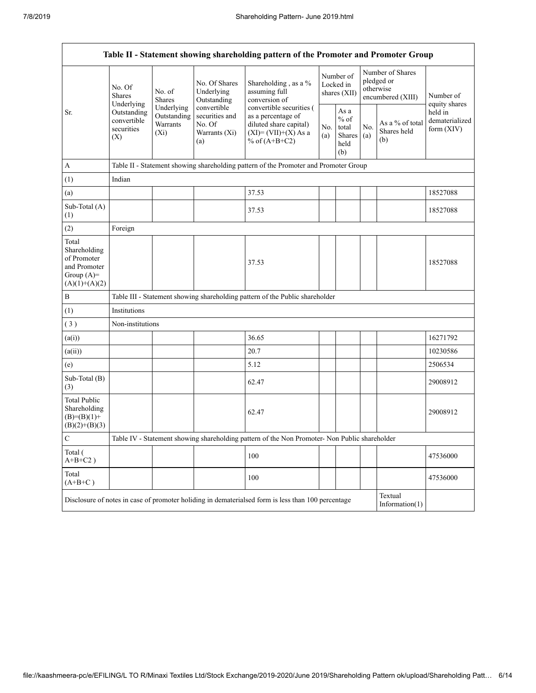| Table II - Statement showing shareholding pattern of the Promoter and Promoter Group    |                                                                                                     |                         |                                                                                                                                                                                           |                                                                                                    |                                        |                                                              |            |                                                                  |                                           |  |
|-----------------------------------------------------------------------------------------|-----------------------------------------------------------------------------------------------------|-------------------------|-------------------------------------------------------------------------------------------------------------------------------------------------------------------------------------------|----------------------------------------------------------------------------------------------------|----------------------------------------|--------------------------------------------------------------|------------|------------------------------------------------------------------|-------------------------------------------|--|
|                                                                                         | No. Of<br><b>Shares</b><br>Underlying                                                               | No. of<br><b>Shares</b> | No. Of Shares<br>Underlying<br>Outstanding                                                                                                                                                | Shareholding, as a %<br>assuming full<br>conversion of                                             | Number of<br>Locked in<br>shares (XII) |                                                              |            | Number of Shares<br>pledged or<br>otherwise<br>encumbered (XIII) | Number of<br>equity shares                |  |
| Sr.                                                                                     | Underlying<br>Outstanding<br>Outstanding<br>convertible<br>Warrants<br>securities<br>$(X_i)$<br>(X) |                         | convertible<br>convertible securities (<br>securities and<br>as a percentage of<br>No. Of<br>diluted share capital)<br>$(XI) = (VII)+(X) As a$<br>Warrants (Xi)<br>% of $(A+B+C2)$<br>(a) |                                                                                                    | No.<br>(a)                             | As $\mathbf{a}$<br>$\%$ of<br>total<br>Shares<br>held<br>(b) | No.<br>(a) | As a % of total<br>Shares held<br>(b)                            | held in<br>dematerialized<br>form $(XIV)$ |  |
| $\mathbf{A}$                                                                            |                                                                                                     |                         |                                                                                                                                                                                           | Table II - Statement showing shareholding pattern of the Promoter and Promoter Group               |                                        |                                                              |            |                                                                  |                                           |  |
| (1)                                                                                     | Indian                                                                                              |                         |                                                                                                                                                                                           |                                                                                                    |                                        |                                                              |            |                                                                  |                                           |  |
| (a)                                                                                     |                                                                                                     |                         |                                                                                                                                                                                           | 37.53                                                                                              |                                        |                                                              |            |                                                                  | 18527088                                  |  |
| Sub-Total (A)<br>(1)                                                                    |                                                                                                     |                         |                                                                                                                                                                                           | 37.53                                                                                              |                                        |                                                              |            |                                                                  | 18527088                                  |  |
| (2)                                                                                     | Foreign                                                                                             |                         |                                                                                                                                                                                           |                                                                                                    |                                        |                                                              |            |                                                                  |                                           |  |
| Total<br>Shareholding<br>of Promoter<br>and Promoter<br>Group $(A)=$<br>$(A)(1)+(A)(2)$ |                                                                                                     |                         |                                                                                                                                                                                           | 37.53                                                                                              |                                        |                                                              |            |                                                                  | 18527088                                  |  |
| $\, {\bf B}$                                                                            |                                                                                                     |                         |                                                                                                                                                                                           | Table III - Statement showing shareholding pattern of the Public shareholder                       |                                        |                                                              |            |                                                                  |                                           |  |
| (1)                                                                                     | Institutions                                                                                        |                         |                                                                                                                                                                                           |                                                                                                    |                                        |                                                              |            |                                                                  |                                           |  |
| (3)                                                                                     | Non-institutions                                                                                    |                         |                                                                                                                                                                                           |                                                                                                    |                                        |                                                              |            |                                                                  |                                           |  |
| (a(i))                                                                                  |                                                                                                     |                         |                                                                                                                                                                                           | 36.65                                                                                              |                                        |                                                              |            |                                                                  | 16271792                                  |  |
| (a(ii))                                                                                 |                                                                                                     |                         |                                                                                                                                                                                           | 20.7                                                                                               |                                        |                                                              |            |                                                                  | 10230586                                  |  |
| (e)                                                                                     |                                                                                                     |                         |                                                                                                                                                                                           | 5.12                                                                                               |                                        |                                                              |            |                                                                  | 2506534                                   |  |
| Sub-Total (B)<br>(3)                                                                    |                                                                                                     |                         |                                                                                                                                                                                           | 62.47                                                                                              |                                        |                                                              |            |                                                                  | 29008912                                  |  |
| <b>Total Public</b><br>Shareholding<br>$(B)= (B)(1) +$<br>$(B)(2)+(B)(3)$               |                                                                                                     |                         |                                                                                                                                                                                           | 62.47                                                                                              |                                        |                                                              |            |                                                                  | 29008912                                  |  |
| $\mathbf C$                                                                             |                                                                                                     |                         |                                                                                                                                                                                           | Table IV - Statement showing shareholding pattern of the Non Promoter- Non Public shareholder      |                                        |                                                              |            |                                                                  |                                           |  |
| Total (<br>$A+B+C2$ )                                                                   |                                                                                                     |                         |                                                                                                                                                                                           | 100                                                                                                |                                        |                                                              |            |                                                                  | 47536000                                  |  |
| Total<br>$(A+B+C)$                                                                      |                                                                                                     |                         |                                                                                                                                                                                           | 100                                                                                                |                                        |                                                              |            |                                                                  | 47536000                                  |  |
|                                                                                         |                                                                                                     |                         |                                                                                                                                                                                           | Disclosure of notes in case of promoter holiding in dematerialsed form is less than 100 percentage |                                        |                                                              |            | Textual<br>Information $(1)$                                     |                                           |  |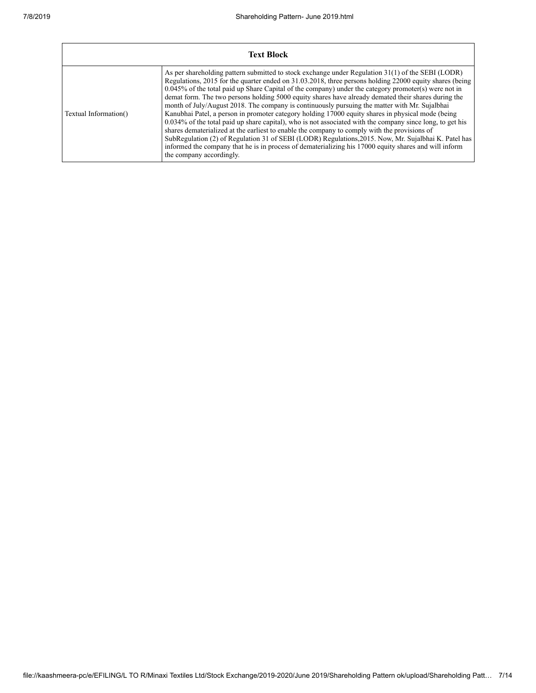|                       | <b>Text Block</b>                                                                                                                                                                                                                                                                                                                                                                                                                                                                                                                                                                                                                                                                                                                                                                                                                                                                                                                                                                                                                                                                              |
|-----------------------|------------------------------------------------------------------------------------------------------------------------------------------------------------------------------------------------------------------------------------------------------------------------------------------------------------------------------------------------------------------------------------------------------------------------------------------------------------------------------------------------------------------------------------------------------------------------------------------------------------------------------------------------------------------------------------------------------------------------------------------------------------------------------------------------------------------------------------------------------------------------------------------------------------------------------------------------------------------------------------------------------------------------------------------------------------------------------------------------|
| Textual Information() | As per shareholding pattern submitted to stock exchange under Regulation 31(1) of the SEBI (LODR)<br>Regulations, 2015 for the quarter ended on 31.03.2018, three persons holding 22000 equity shares (being<br>$0.045\%$ of the total paid up Share Capital of the company) under the category promoter(s) were not in<br>demat form. The two persons holding 5000 equity shares have already demated their shares during the<br>month of July/August 2018. The company is continuously pursuing the matter with Mr. Sujalbhai<br>Kanubhai Patel, a person in promoter category holding 17000 equity shares in physical mode (being<br>0.034% of the total paid up share capital), who is not associated with the company since long, to get his<br>shares dematerialized at the earliest to enable the company to comply with the provisions of<br>SubRegulation (2) of Regulation 31 of SEBI (LODR) Regulations, 2015. Now, Mr. Sujalbhai K. Patel has<br>informed the company that he is in process of dematerializing his 17000 equity shares and will inform<br>the company accordingly. |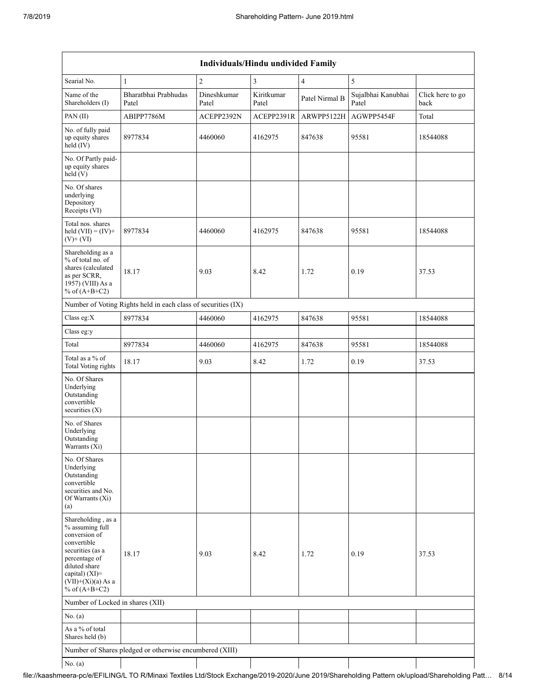| Individuals/Hindu undivided Family                                                                                                                                                          |                                                               |                      |                     |                |                             |                          |  |  |  |  |
|---------------------------------------------------------------------------------------------------------------------------------------------------------------------------------------------|---------------------------------------------------------------|----------------------|---------------------|----------------|-----------------------------|--------------------------|--|--|--|--|
| Searial No.                                                                                                                                                                                 | $\mathbf{1}$                                                  | $\overline{2}$       | 3                   | $\overline{4}$ | 5                           |                          |  |  |  |  |
| Name of the<br>Shareholders (I)                                                                                                                                                             | Bharatbhai Prabhudas<br>Patel                                 | Dineshkumar<br>Patel | Kiritkumar<br>Patel | Patel Nirmal B | Sujalbhai Kanubhai<br>Patel | Click here to go<br>back |  |  |  |  |
| PAN(II)                                                                                                                                                                                     | ABIPP7786M                                                    | ACEPP2392N           | ACEPP2391R          | ARWPP5122H     | AGWPP5454F                  | Total                    |  |  |  |  |
| No. of fully paid<br>up equity shares<br>$held$ (IV)                                                                                                                                        | 8977834                                                       | 4460060              | 4162975             | 847638         | 95581                       | 18544088                 |  |  |  |  |
| No. Of Partly paid-<br>up equity shares<br>held(V)                                                                                                                                          |                                                               |                      |                     |                |                             |                          |  |  |  |  |
| No. Of shares<br>underlying<br>Depository<br>Receipts (VI)                                                                                                                                  |                                                               |                      |                     |                |                             |                          |  |  |  |  |
| Total nos. shares<br>held $(VII) = (IV) +$<br>$(V)$ + $(VI)$                                                                                                                                | 8977834                                                       | 4460060              | 4162975             | 847638         | 95581                       | 18544088                 |  |  |  |  |
| Shareholding as a<br>% of total no. of<br>shares (calculated<br>as per SCRR,<br>1957) (VIII) As a<br>% of $(A+B+C2)$                                                                        | 18.17                                                         | 9.03                 | 8.42                | 1.72           | 0.19                        | 37.53                    |  |  |  |  |
|                                                                                                                                                                                             | Number of Voting Rights held in each class of securities (IX) |                      |                     |                |                             |                          |  |  |  |  |
| Class eg:X                                                                                                                                                                                  | 8977834                                                       | 4460060              | 4162975             | 847638         | 95581                       | 18544088                 |  |  |  |  |
| Class eg:y                                                                                                                                                                                  |                                                               |                      |                     |                |                             |                          |  |  |  |  |
| Total                                                                                                                                                                                       | 8977834                                                       | 4460060              | 4162975             | 847638         | 95581                       | 18544088                 |  |  |  |  |
| Total as a % of<br>Total Voting rights                                                                                                                                                      | 18.17                                                         | 9.03                 | 8.42                | 1.72           | 0.19                        | 37.53                    |  |  |  |  |
| No. Of Shares<br>Underlying<br>Outstanding<br>convertible<br>securities $(X)$                                                                                                               |                                                               |                      |                     |                |                             |                          |  |  |  |  |
| No. of Shares<br>Underlying<br>Outstanding<br>Warrants $(\bar{X}i)$                                                                                                                         |                                                               |                      |                     |                |                             |                          |  |  |  |  |
| No. Of Shares<br>Underlying<br>Outstanding<br>convertible<br>securities and No.<br>Of Warrants (Xi)<br>(a)                                                                                  |                                                               |                      |                     |                |                             |                          |  |  |  |  |
| Shareholding, as a<br>% assuming full<br>conversion of<br>convertible<br>securities (as a<br>percentage of<br>diluted share<br>capital) $(XI)$ =<br>$(VII)+(Xi)(a)$ As a<br>% of $(A+B+C2)$ | 18.17                                                         | 9.03                 | 8.42                | 1.72           | 0.19                        | 37.53                    |  |  |  |  |
| Number of Locked in shares (XII)                                                                                                                                                            |                                                               |                      |                     |                |                             |                          |  |  |  |  |
| No. $(a)$                                                                                                                                                                                   |                                                               |                      |                     |                |                             |                          |  |  |  |  |
| As a % of total<br>Shares held (b)                                                                                                                                                          |                                                               |                      |                     |                |                             |                          |  |  |  |  |
|                                                                                                                                                                                             | Number of Shares pledged or otherwise encumbered (XIII)       |                      |                     |                |                             |                          |  |  |  |  |
| No. $(a)$                                                                                                                                                                                   |                                                               |                      |                     |                |                             |                          |  |  |  |  |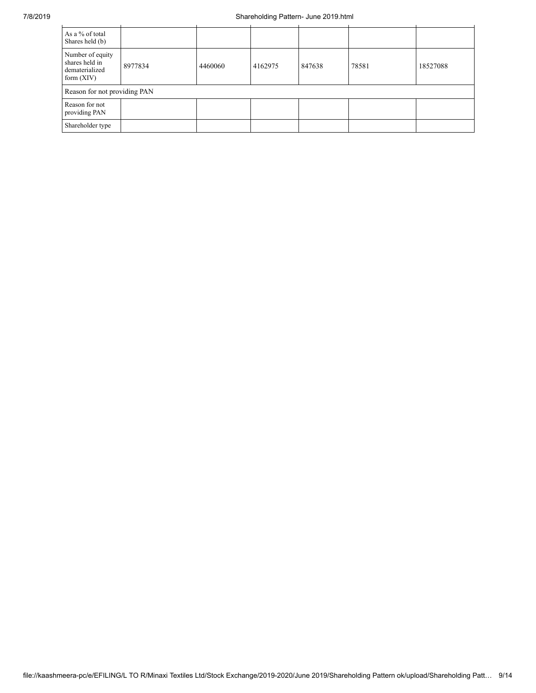| As a % of total<br>Shares held (b)                                   |         |         |         |        |       |          |
|----------------------------------------------------------------------|---------|---------|---------|--------|-------|----------|
| Number of equity<br>shares held in<br>dematerialized<br>form $(XIV)$ | 8977834 | 4460060 | 4162975 | 847638 | 78581 | 18527088 |
| Reason for not providing PAN                                         |         |         |         |        |       |          |
| Reason for not<br>providing PAN                                      |         |         |         |        |       |          |
| Shareholder type                                                     |         |         |         |        |       |          |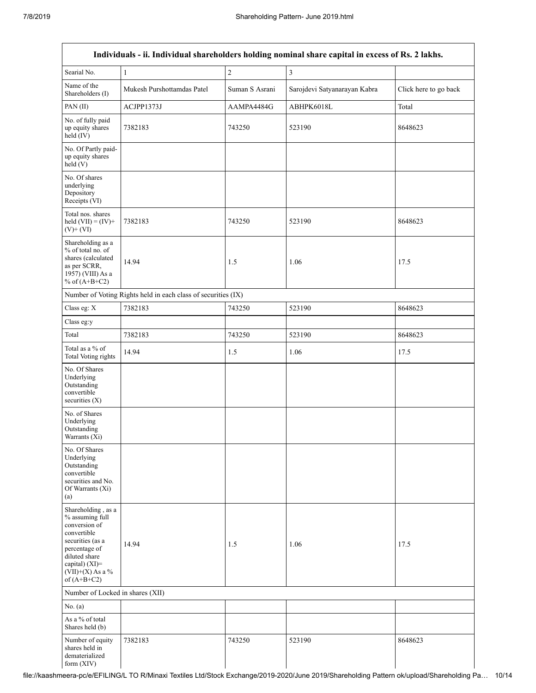|                                                                                                                                                                                      |                                                               |                | Individuals - ii. Individual shareholders holding nominal share capital in excess of Rs. 2 lakhs. |                       |
|--------------------------------------------------------------------------------------------------------------------------------------------------------------------------------------|---------------------------------------------------------------|----------------|---------------------------------------------------------------------------------------------------|-----------------------|
| Searial No.                                                                                                                                                                          | 1                                                             | $\sqrt{2}$     | $\overline{\mathbf{3}}$                                                                           |                       |
| Name of the<br>Shareholders (I)                                                                                                                                                      | Mukesh Purshottamdas Patel                                    | Suman S Asrani | Sarojdevi Satyanarayan Kabra                                                                      | Click here to go back |
| PAN(II)                                                                                                                                                                              | ACJPP1373J                                                    | AAMPA4484G     | ABHPK6018L                                                                                        | Total                 |
| No. of fully paid<br>up equity shares<br>held (IV)                                                                                                                                   | 7382183                                                       | 743250         | 523190                                                                                            | 8648623               |
| No. Of Partly paid-<br>up equity shares<br>held(V)                                                                                                                                   |                                                               |                |                                                                                                   |                       |
| No. Of shares<br>underlying<br>Depository<br>Receipts (VI)                                                                                                                           |                                                               |                |                                                                                                   |                       |
| Total nos. shares<br>held $(VII) = (IV) +$<br>$(V)$ + $(VI)$                                                                                                                         | 7382183                                                       | 743250         | 523190                                                                                            | 8648623               |
| Shareholding as a<br>% of total no. of<br>shares (calculated<br>as per SCRR,<br>1957) (VIII) As a<br>% of $(A+B+C2)$                                                                 | 14.94                                                         | 1.5            | 1.06                                                                                              | 17.5                  |
|                                                                                                                                                                                      | Number of Voting Rights held in each class of securities (IX) |                |                                                                                                   |                       |
| Class eg: X                                                                                                                                                                          | 7382183                                                       | 743250         | 523190                                                                                            | 8648623               |
| Class eg:y                                                                                                                                                                           |                                                               |                |                                                                                                   |                       |
| Total                                                                                                                                                                                | 7382183                                                       | 743250         | 523190                                                                                            | 8648623               |
| Total as a % of<br>Total Voting rights                                                                                                                                               | 14.94                                                         | 1.5            | 1.06                                                                                              | 17.5                  |
| No. Of Shares<br>Underlying<br>Outstanding<br>convertible<br>securities (X)                                                                                                          |                                                               |                |                                                                                                   |                       |
| No. of Shares<br>Underlying<br>Outstanding<br>Warrants (Xi)                                                                                                                          |                                                               |                |                                                                                                   |                       |
| No. Of Shares<br>Underlying<br>Outstanding<br>convertible<br>securities and No.<br>Of Warrants (Xi)<br>(a)                                                                           |                                                               |                |                                                                                                   |                       |
| Shareholding, as a<br>% assuming full<br>conversion of<br>convertible<br>securities (as a<br>percentage of<br>diluted share<br>capital) (XI)=<br>$(VII)+(X)$ As a %<br>of $(A+B+C2)$ | 14.94                                                         | 1.5            | 1.06                                                                                              | 17.5                  |
| Number of Locked in shares (XII)                                                                                                                                                     |                                                               |                |                                                                                                   |                       |
| No. (a)                                                                                                                                                                              |                                                               |                |                                                                                                   |                       |
| As a % of total<br>Shares held (b)                                                                                                                                                   |                                                               |                |                                                                                                   |                       |
| Number of equity<br>shares held in<br>dematerialized<br>form $(XIV)$                                                                                                                 | 7382183                                                       | 743250         | 523190                                                                                            | 8648623               |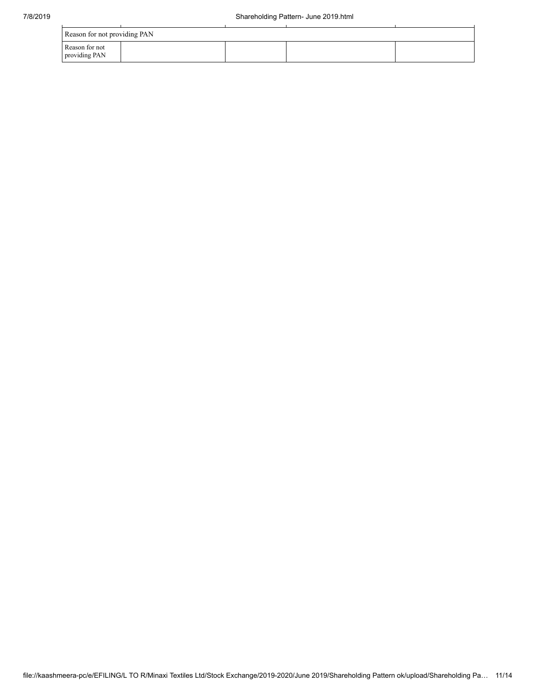| Reason for not providing PAN    |  |  |  |  |  |  |  |  |
|---------------------------------|--|--|--|--|--|--|--|--|
| Reason for not<br>providing PAN |  |  |  |  |  |  |  |  |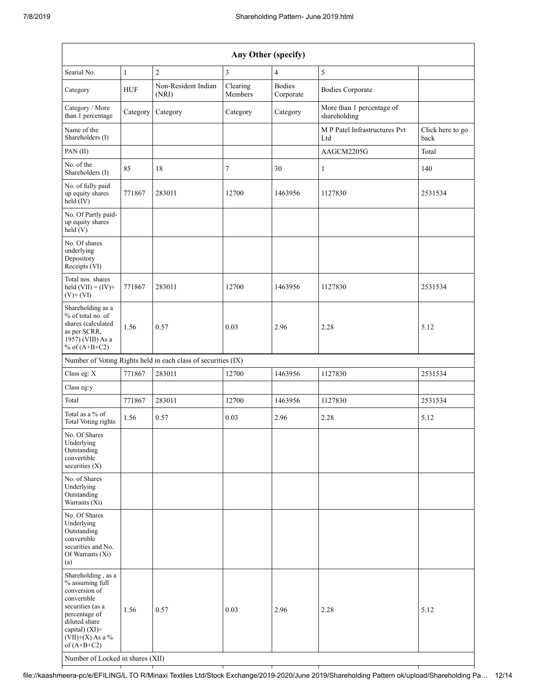| Any Other (specify)                                                                                                                                                                                                      |              |                                                               |                     |                            |                                           |                          |  |  |  |  |  |
|--------------------------------------------------------------------------------------------------------------------------------------------------------------------------------------------------------------------------|--------------|---------------------------------------------------------------|---------------------|----------------------------|-------------------------------------------|--------------------------|--|--|--|--|--|
| Searial No.                                                                                                                                                                                                              | $\mathbf{1}$ | $\overline{2}$                                                | $\mathfrak{Z}$      | 4                          | 5                                         |                          |  |  |  |  |  |
| Category                                                                                                                                                                                                                 | <b>HUF</b>   | Non-Resident Indian<br>(NRI)                                  | Clearing<br>Members | <b>Bodies</b><br>Corporate | <b>Bodies Corporate</b>                   |                          |  |  |  |  |  |
| Category / More<br>than 1 percentage                                                                                                                                                                                     | Category     | Category                                                      | Category            | Category                   | More than 1 percentage of<br>shareholding |                          |  |  |  |  |  |
| Name of the<br>Shareholders (I)                                                                                                                                                                                          |              |                                                               |                     |                            | M P Patel Infrastructures Pvt<br>Ltd      | Click here to go<br>back |  |  |  |  |  |
| PAN(II)                                                                                                                                                                                                                  |              |                                                               |                     |                            | AAGCM2205G                                | Total                    |  |  |  |  |  |
| No. of the<br>Shareholders (I)                                                                                                                                                                                           | 85           | 18                                                            | 7                   | 30                         | 1                                         | 140                      |  |  |  |  |  |
| No. of fully paid<br>up equity shares<br>held (IV)                                                                                                                                                                       | 771867       | 283011                                                        | 12700               | 1463956                    | 1127830                                   | 2531534                  |  |  |  |  |  |
| No. Of Partly paid-<br>up equity shares<br>held(V)                                                                                                                                                                       |              |                                                               |                     |                            |                                           |                          |  |  |  |  |  |
| No. Of shares<br>underlying<br>Depository<br>Receipts (VI)                                                                                                                                                               |              |                                                               |                     |                            |                                           |                          |  |  |  |  |  |
| Total nos. shares<br>held $(VII) = (IV) +$<br>$(V)$ + $(VI)$                                                                                                                                                             | 771867       | 283011                                                        | 12700               | 1463956                    | 1127830                                   | 2531534                  |  |  |  |  |  |
| Shareholding as a<br>% of total no. of<br>shares (calculated<br>as per SCRR,<br>1957) (VIII) As a<br>% of $(A+B+C2)$                                                                                                     | 1.56         | 0.57                                                          | 0.03                | 2.96                       | 2.28                                      | 5.12                     |  |  |  |  |  |
|                                                                                                                                                                                                                          |              | Number of Voting Rights held in each class of securities (IX) |                     |                            |                                           |                          |  |  |  |  |  |
| Class eg: X                                                                                                                                                                                                              | 771867       | 283011                                                        | 12700               | 1463956                    | 1127830                                   | 2531534                  |  |  |  |  |  |
| Class eg:y                                                                                                                                                                                                               |              |                                                               |                     |                            |                                           |                          |  |  |  |  |  |
| Total                                                                                                                                                                                                                    | 771867       | 283011                                                        | 12700               | 1463956                    | 1127830                                   | 2531534                  |  |  |  |  |  |
| Total as a % of<br>Total Voting rights                                                                                                                                                                                   | 1.56         | 0.57                                                          | 0.03                | 2.96                       | 2.28                                      | 5.12                     |  |  |  |  |  |
| No. Of Shares<br>Underlying<br>Outstanding<br>convertible<br>securities $(X)$                                                                                                                                            |              |                                                               |                     |                            |                                           |                          |  |  |  |  |  |
| No. of Shares<br>Underlying<br>Outstanding<br>Warrants (Xi)                                                                                                                                                              |              |                                                               |                     |                            |                                           |                          |  |  |  |  |  |
| No. Of Shares<br>Underlying<br>Outstanding<br>convertible<br>securities and No.<br>Of Warrants (Xi)<br>(a)                                                                                                               |              |                                                               |                     |                            |                                           |                          |  |  |  |  |  |
| Shareholding, as a<br>% assuming full<br>conversion of<br>convertible<br>securities (as a<br>percentage of<br>diluted share<br>capital) (XI)=<br>$(VII)+(X)$ As a %<br>of $(A+B+C2)$<br>Number of Locked in shares (XII) | 1.56         | 0.57                                                          | 0.03                | 2.96                       | 2.28                                      | 5.12                     |  |  |  |  |  |

file://kaashmeera-pc/e/EFILING/L TO R/Minaxi Textiles Ltd/Stock Exchange/2019-2020/June 2019/Shareholding Pattern ok/upload/Shareholding Pa… 12/14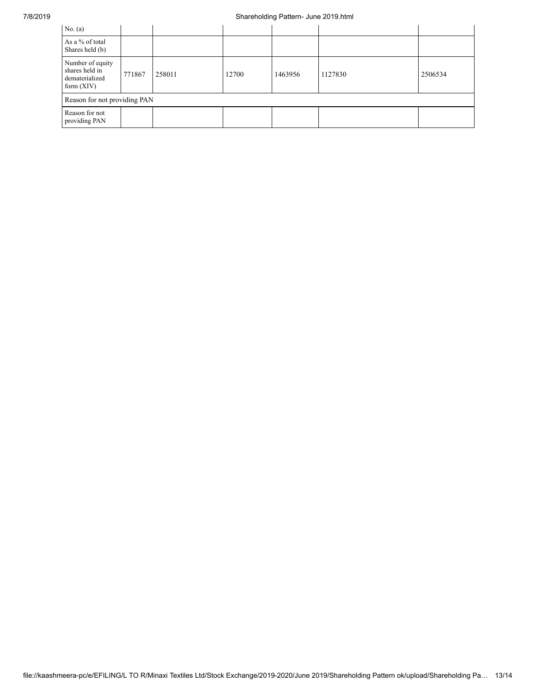## 7/8/2019 Shareholding Pattern- June 2019.html

| No. $(a)$                                                            |        |        |       |         |         |         |
|----------------------------------------------------------------------|--------|--------|-------|---------|---------|---------|
| As a % of total<br>Shares held (b)                                   |        |        |       |         |         |         |
| Number of equity<br>shares held in<br>dematerialized<br>form $(XIV)$ | 771867 | 258011 | 12700 | 1463956 | 1127830 | 2506534 |
| Reason for not providing PAN                                         |        |        |       |         |         |         |
| Reason for not<br>providing PAN                                      |        |        |       |         |         |         |